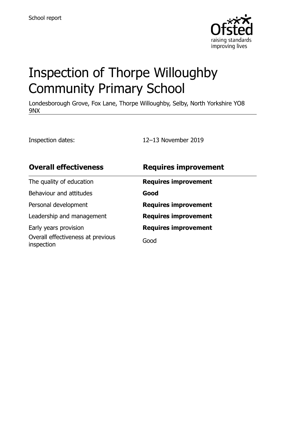

# Inspection of Thorpe Willoughby Community Primary School

Londesborough Grove, Fox Lane, Thorpe Willoughby, Selby, North Yorkshire YO8 9NX

Inspection dates: 12–13 November 2019

| <b>Overall effectiveness</b>                    | <b>Requires improvement</b> |
|-------------------------------------------------|-----------------------------|
| The quality of education                        | <b>Requires improvement</b> |
| Behaviour and attitudes                         | Good                        |
| Personal development                            | <b>Requires improvement</b> |
| Leadership and management                       | <b>Requires improvement</b> |
| Early years provision                           | <b>Requires improvement</b> |
| Overall effectiveness at previous<br>inspection | Good                        |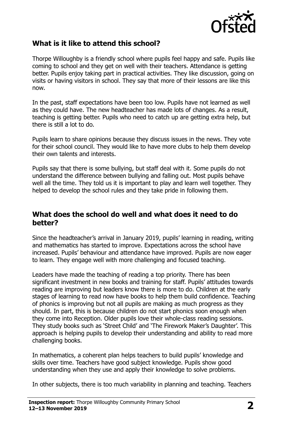

### **What is it like to attend this school?**

Thorpe Willoughby is a friendly school where pupils feel happy and safe. Pupils like coming to school and they get on well with their teachers. Attendance is getting better. Pupils enjoy taking part in practical activities. They like discussion, going on visits or having visitors in school. They say that more of their lessons are like this now.

In the past, staff expectations have been too low. Pupils have not learned as well as they could have. The new headteacher has made lots of changes. As a result, teaching is getting better. Pupils who need to catch up are getting extra help, but there is still a lot to do.

Pupils learn to share opinions because they discuss issues in the news. They vote for their school council. They would like to have more clubs to help them develop their own talents and interests.

Pupils say that there is some bullying, but staff deal with it. Some pupils do not understand the difference between bullying and falling out. Most pupils behave well all the time. They told us it is important to play and learn well together. They helped to develop the school rules and they take pride in following them.

#### **What does the school do well and what does it need to do better?**

Since the headteacher's arrival in January 2019, pupils' learning in reading, writing and mathematics has started to improve. Expectations across the school have increased. Pupils' behaviour and attendance have improved. Pupils are now eager to learn. They engage well with more challenging and focused teaching.

Leaders have made the teaching of reading a top priority. There has been significant investment in new books and training for staff. Pupils' attitudes towards reading are improving but leaders know there is more to do. Children at the early stages of learning to read now have books to help them build confidence. Teaching of phonics is improving but not all pupils are making as much progress as they should. In part, this is because children do not start phonics soon enough when they come into Reception. Older pupils love their whole-class reading sessions. They study books such as 'Street Child' and 'The Firework Maker's Daughter'. This approach is helping pupils to develop their understanding and ability to read more challenging books.

In mathematics, a coherent plan helps teachers to build pupils' knowledge and skills over time. Teachers have good subject knowledge. Pupils show good understanding when they use and apply their knowledge to solve problems.

In other subjects, there is too much variability in planning and teaching. Teachers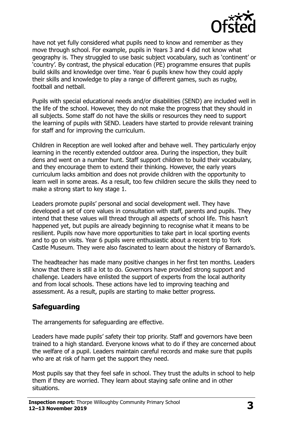

have not yet fully considered what pupils need to know and remember as they move through school. For example, pupils in Years 3 and 4 did not know what geography is. They struggled to use basic subject vocabulary, such as 'continent' or 'country'. By contrast, the physical education (PE) programme ensures that pupils build skills and knowledge over time. Year 6 pupils knew how they could apply their skills and knowledge to play a range of different games, such as rugby, football and netball.

Pupils with special educational needs and/or disabilities (SEND) are included well in the life of the school. However, they do not make the progress that they should in all subjects. Some staff do not have the skills or resources they need to support the learning of pupils with SEND. Leaders have started to provide relevant training for staff and for improving the curriculum.

Children in Reception are well looked after and behave well. They particularly enjoy learning in the recently extended outdoor area. During the inspection, they built dens and went on a number hunt. Staff support children to build their vocabulary, and they encourage them to extend their thinking. However, the early years curriculum lacks ambition and does not provide children with the opportunity to learn well in some areas. As a result, too few children secure the skills they need to make a strong start to key stage 1.

Leaders promote pupils' personal and social development well. They have developed a set of core values in consultation with staff, parents and pupils. They intend that these values will thread through all aspects of school life. This hasn't happened yet, but pupils are already beginning to recognise what it means to be resilient. Pupils now have more opportunities to take part in local sporting events and to go on visits. Year 6 pupils were enthusiastic about a recent trip to York Castle Museum. They were also fascinated to learn about the history of Barnardo's.

The headteacher has made many positive changes in her first ten months. Leaders know that there is still a lot to do. Governors have provided strong support and challenge. Leaders have enlisted the support of experts from the local authority and from local schools. These actions have led to improving teaching and assessment. As a result, pupils are starting to make better progress.

#### **Safeguarding**

The arrangements for safeguarding are effective.

Leaders have made pupils' safety their top priority. Staff and governors have been trained to a high standard. Everyone knows what to do if they are concerned about the welfare of a pupil. Leaders maintain careful records and make sure that pupils who are at risk of harm get the support they need.

Most pupils say that they feel safe in school. They trust the adults in school to help them if they are worried. They learn about staying safe online and in other situations.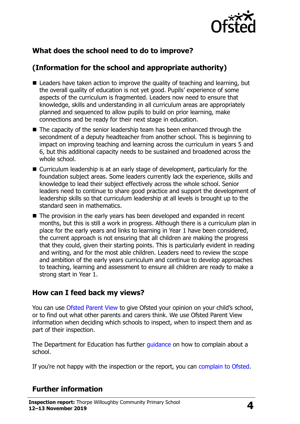

## **What does the school need to do to improve?**

## **(Information for the school and appropriate authority)**

- Leaders have taken action to improve the quality of teaching and learning, but the overall quality of education is not yet good. Pupils' experience of some aspects of the curriculum is fragmented. Leaders now need to ensure that knowledge, skills and understanding in all curriculum areas are appropriately planned and sequenced to allow pupils to build on prior learning, make connections and be ready for their next stage in education.
- The capacity of the senior leadership team has been enhanced through the secondment of a deputy headteacher from another school. This is beginning to impact on improving teaching and learning across the curriculum in years 5 and 6, but this additional capacity needs to be sustained and broadened across the whole school.
- Curriculum leadership is at an early stage of development, particularly for the foundation subject areas. Some leaders currently lack the experience, skills and knowledge to lead their subject effectively across the whole school. Senior leaders need to continue to share good practice and support the development of leadership skills so that curriculum leadership at all levels is brought up to the standard seen in mathematics.
- The provision in the early years has been developed and expanded in recent months, but this is still a work in progress. Although there is a curriculum plan in place for the early years and links to learning in Year 1 have been considered, the current approach is not ensuring that all children are making the progress that they could, given their starting points. This is particularly evident in reading and writing, and for the most able children. Leaders need to review the scope and ambition of the early years curriculum and continue to develop approaches to teaching, learning and assessment to ensure all children are ready to make a strong start in Year 1.

#### **How can I feed back my views?**

You can use [Ofsted Parent View](http://parentview.ofsted.gov.uk/) to give Ofsted your opinion on your child's school, or to find out what other parents and carers think. We use Ofsted Parent View information when deciding which schools to inspect, when to inspect them and as part of their inspection.

The Department for Education has further quidance on how to complain about a school.

If you're not happy with the inspection or the report, you can [complain to Ofsted.](http://www.gov.uk/complain-ofsted-report)

## **Further information**

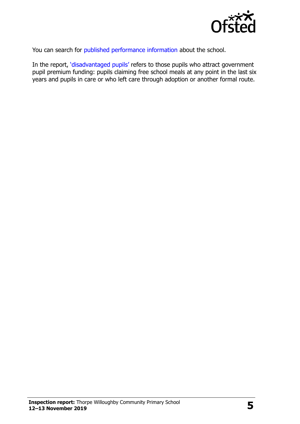

You can search for [published performance information](http://www.compare-school-performance.service.gov.uk/) about the school.

In the report, '[disadvantaged pupils](http://www.gov.uk/guidance/pupil-premium-information-for-schools-and-alternative-provision-settings)' refers to those pupils who attract government pupil premium funding: pupils claiming free school meals at any point in the last six years and pupils in care or who left care through adoption or another formal route.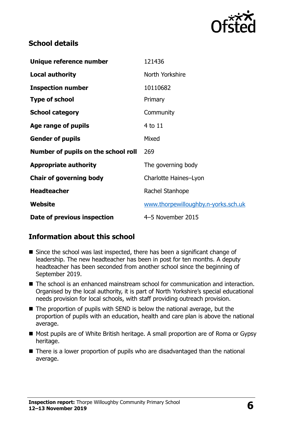

### **School details**

| Unique reference number             | 121436                              |  |
|-------------------------------------|-------------------------------------|--|
| <b>Local authority</b>              | North Yorkshire                     |  |
| <b>Inspection number</b>            | 10110682                            |  |
| <b>Type of school</b>               | Primary                             |  |
| <b>School category</b>              | Community                           |  |
| Age range of pupils                 | 4 to 11                             |  |
| <b>Gender of pupils</b>             | Mixed                               |  |
| Number of pupils on the school roll | 269                                 |  |
| <b>Appropriate authority</b>        | The governing body                  |  |
| <b>Chair of governing body</b>      | Charlotte Haines-Lyon               |  |
| <b>Headteacher</b>                  | Rachel Stanhope                     |  |
| Website                             | www.thorpewilloughby.n-yorks.sch.uk |  |
| Date of previous inspection         | 4-5 November 2015                   |  |

## **Information about this school**

- Since the school was last inspected, there has been a significant change of leadership. The new headteacher has been in post for ten months. A deputy headteacher has been seconded from another school since the beginning of September 2019.
- The school is an enhanced mainstream school for communication and interaction. Organised by the local authority, it is part of North Yorkshire's special educational needs provision for local schools, with staff providing outreach provision.
- $\blacksquare$  The proportion of pupils with SEND is below the national average, but the proportion of pupils with an education, health and care plan is above the national average.
- Most pupils are of White British heritage. A small proportion are of Roma or Gypsy heritage.
- There is a lower proportion of pupils who are disadvantaged than the national average.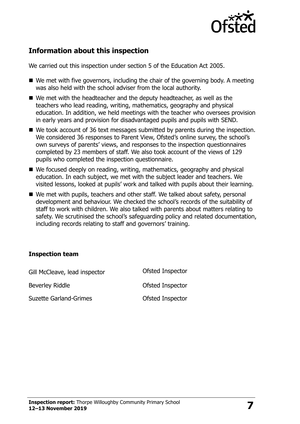

### **Information about this inspection**

We carried out this inspection under section 5 of the Education Act 2005.

- $\blacksquare$  We met with five governors, including the chair of the governing body. A meeting was also held with the school adviser from the local authority.
- We met with the headteacher and the deputy headteacher, as well as the teachers who lead reading, writing, mathematics, geography and physical education. In addition, we held meetings with the teacher who oversees provision in early years and provision for disadvantaged pupils and pupils with SEND.
- We took account of 36 text messages submitted by parents during the inspection. We considered 36 responses to Parent View, Ofsted's online survey, the school's own surveys of parents' views, and responses to the inspection questionnaires completed by 23 members of staff. We also took account of the views of 129 pupils who completed the inspection questionnaire.
- We focused deeply on reading, writing, mathematics, geography and physical education. In each subject, we met with the subject leader and teachers. We visited lessons, looked at pupils' work and talked with pupils about their learning.
- We met with pupils, teachers and other staff. We talked about safety, personal development and behaviour. We checked the school's records of the suitability of staff to work with children. We also talked with parents about matters relating to safety. We scrutinised the school's safeguarding policy and related documentation, including records relating to staff and governors' training.

#### **Inspection team**

| Gill McCleave, lead inspector | Ofsted Inspector |
|-------------------------------|------------------|
| Beverley Riddle               | Ofsted Inspector |
| <b>Suzette Garland-Grimes</b> | Ofsted Inspector |